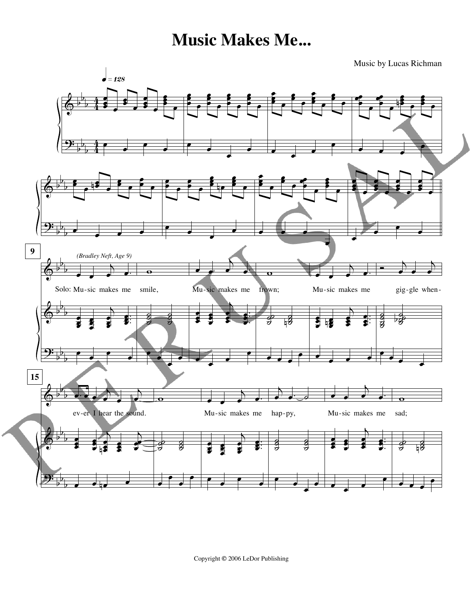Music by Lucas Richman



Copyright **©** 2006 LeDor Publishing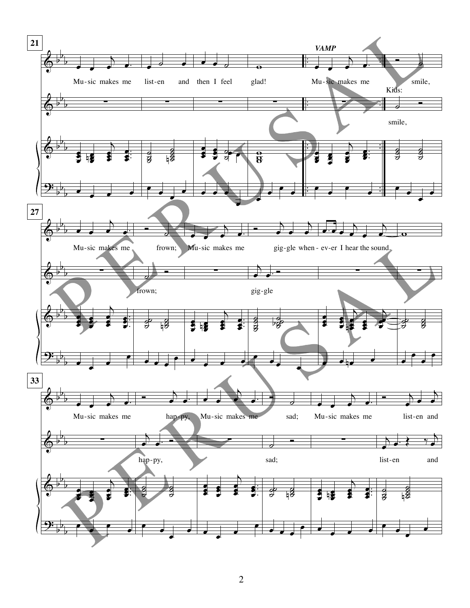

2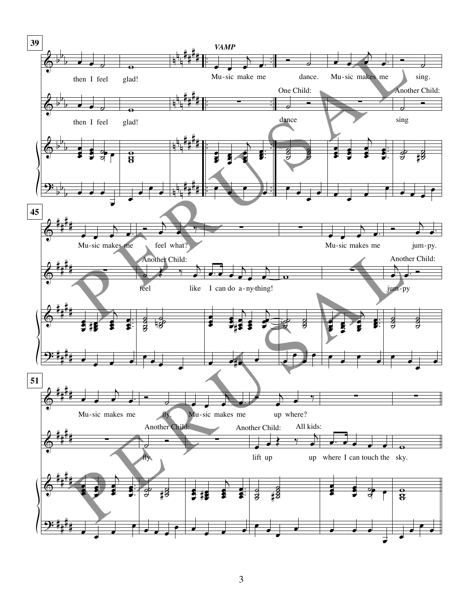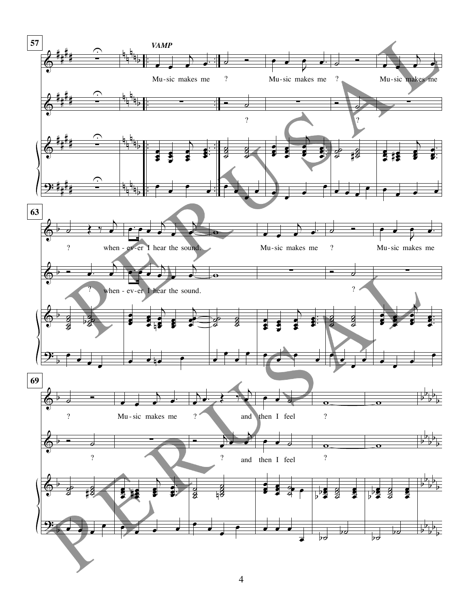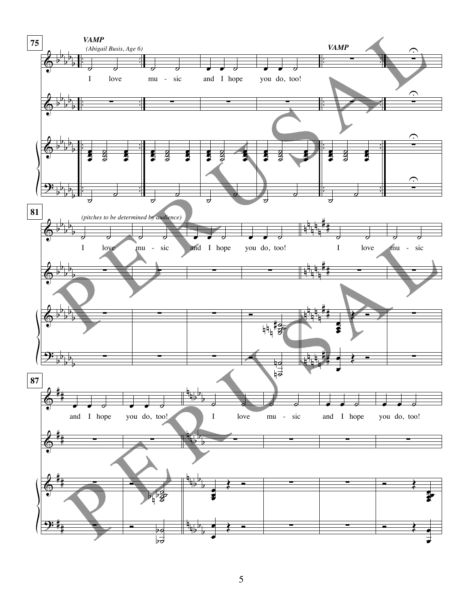

5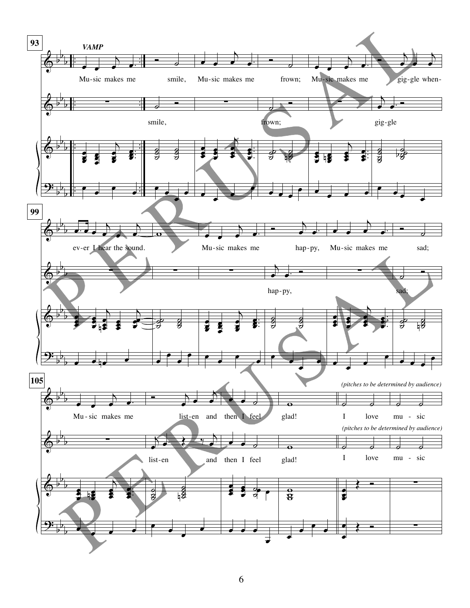